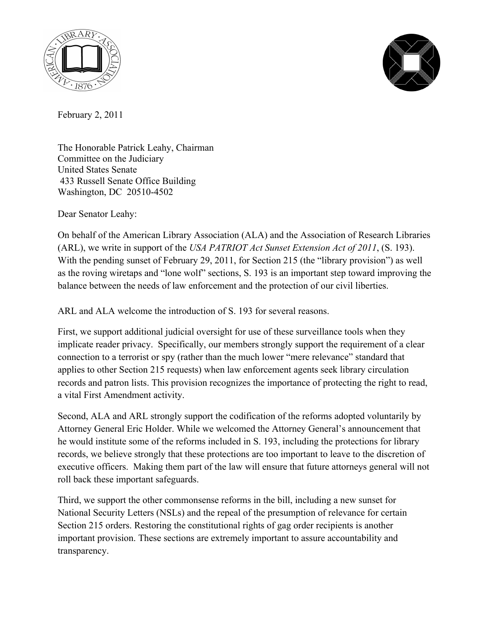



February 2, 2011

The Honorable Patrick Leahy, Chairman Committee on the Judiciary United States Senate 433 Russell Senate Office Building Washington, DC 20510-4502

Dear Senator Leahy:

On behalf of the American Library Association (ALA) and the Association of Research Libraries (ARL), we write in support of the *USA PATRIOT Act Sunset Extension Act of 2011*, (S. 193). With the pending sunset of February 29, 2011, for Section 215 (the "library provision") as well as the roving wiretaps and "lone wolf" sections, S. 193 is an important step toward improving the balance between the needs of law enforcement and the protection of our civil liberties.

ARL and ALA welcome the introduction of S. 193 for several reasons.

First, we support additional judicial oversight for use of these surveillance tools when they implicate reader privacy. Specifically, our members strongly support the requirement of a clear connection to a terrorist or spy (rather than the much lower "mere relevance" standard that applies to other Section 215 requests) when law enforcement agents seek library circulation records and patron lists. This provision recognizes the importance of protecting the right to read, a vital First Amendment activity.

Second, ALA and ARL strongly support the codification of the reforms adopted voluntarily by Attorney General Eric Holder. While we welcomed the Attorney General's announcement that he would institute some of the reforms included in S. 193, including the protections for library records, we believe strongly that these protections are too important to leave to the discretion of executive officers. Making them part of the law will ensure that future attorneys general will not roll back these important safeguards.

Third, we support the other commonsense reforms in the bill, including a new sunset for National Security Letters (NSLs) and the repeal of the presumption of relevance for certain Section 215 orders. Restoring the constitutional rights of gag order recipients is another important provision. These sections are extremely important to assure accountability and transparency.